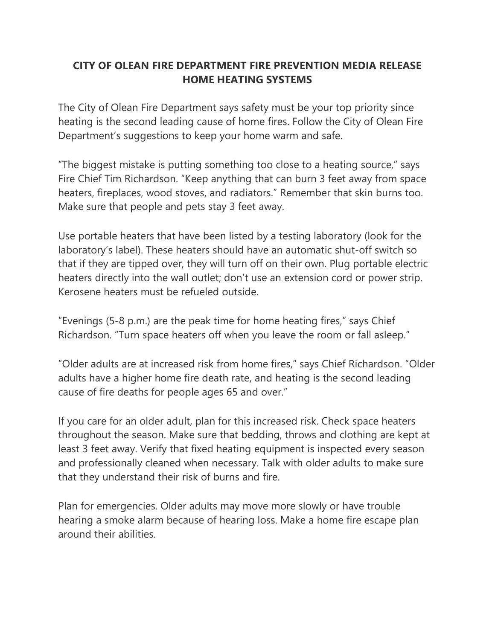## **CITY OF OLEAN FIRE DEPARTMENT FIRE PREVENTION MEDIA RELEASE HOME HEATING SYSTEMS**

The City of Olean Fire Department says safety must be your top priority since heating is the second leading cause of home fires. Follow the City of Olean Fire Department's suggestions to keep your home warm and safe.

"The biggest mistake is putting something too close to a heating source," says Fire Chief Tim Richardson. "Keep anything that can burn 3 feet away from space heaters, fireplaces, wood stoves, and radiators." Remember that skin burns too. Make sure that people and pets stay 3 feet away.

Use portable heaters that have been listed by a testing laboratory (look for the laboratory's label). These heaters should have an automatic shut-off switch so that if they are tipped over, they will turn off on their own. Plug portable electric heaters directly into the wall outlet; don't use an extension cord or power strip. Kerosene heaters must be refueled outside.

"Evenings (5-8 p.m.) are the peak time for home heating fires," says Chief Richardson. "Turn space heaters off when you leave the room or fall asleep."

"Older adults are at increased risk from home fires," says Chief Richardson. "Older adults have a higher home fire death rate, and heating is the second leading cause of fire deaths for people ages 65 and over."

If you care for an older adult, plan for this increased risk. Check space heaters throughout the season. Make sure that bedding, throws and clothing are kept at least 3 feet away. Verify that fixed heating equipment is inspected every season and professionally cleaned when necessary. Talk with older adults to make sure that they understand their risk of burns and fire.

Plan for emergencies. Older adults may move more slowly or have trouble hearing a smoke alarm because of hearing loss. Make a home fire escape plan around their abilities.